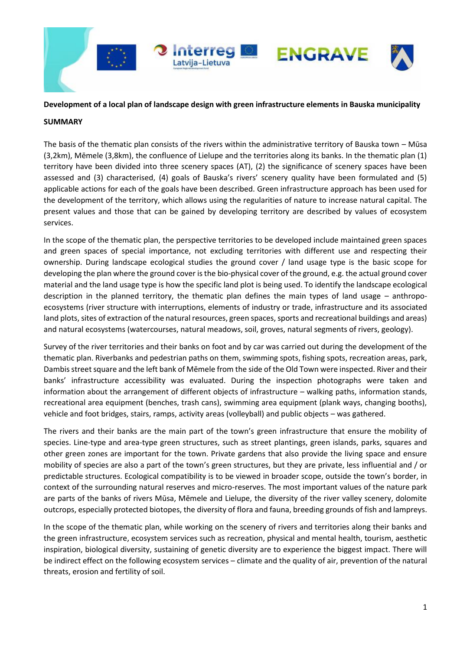

## **Development of a local plan of landscape design with green infrastructure elements in Bauska municipality**

## **SUMMARY**

The basis of the thematic plan consists of the rivers within the administrative territory of Bauska town – Mūsa (3,2km), Mēmele (3,8km), the confluence of Lielupe and the territories along its banks. In the thematic plan (1) territory have been divided into three scenery spaces (AT), (2) the significance of scenery spaces have been assessed and (3) characterised, (4) goals of Bauska's rivers' scenery quality have been formulated and (5) applicable actions for each of the goals have been described. Green infrastructure approach has been used for the development of the territory, which allows using the regularities of nature to increase natural capital. The present values and those that can be gained by developing territory are described by values of ecosystem services.

In the scope of the thematic plan, the perspective territories to be developed include maintained green spaces and green spaces of special importance, not excluding territories with different use and respecting their ownership. During landscape ecological studies the ground cover / land usage type is the basic scope for developing the plan where the ground cover is the bio-physical cover of the ground, e.g. the actual ground cover material and the land usage type is how the specific land plot is being used. To identify the landscape ecological description in the planned territory, the thematic plan defines the main types of land usage – anthropoecosystems (river structure with interruptions, elements of industry or trade, infrastructure and its associated land plots, sites of extraction of the natural resources, green spaces, sports and recreational buildings and areas) and natural ecosystems (watercourses, natural meadows, soil, groves, natural segments of rivers, geology).

Survey of the river territories and their banks on foot and by car was carried out during the development of the thematic plan. Riverbanks and pedestrian paths on them, swimming spots, fishing spots, recreation areas, park, Dambis street square and the left bank of Mēmele from the side of the Old Town were inspected. River and their banks' infrastructure accessibility was evaluated. During the inspection photographs were taken and information about the arrangement of different objects of infrastructure – walking paths, information stands, recreational area equipment (benches, trash cans), swimming area equipment (plank ways, changing booths), vehicle and foot bridges, stairs, ramps, activity areas (volleyball) and public objects – was gathered.

The rivers and their banks are the main part of the town's green infrastructure that ensure the mobility of species. Line-type and area-type green structures, such as street plantings, green islands, parks, squares and other green zones are important for the town. Private gardens that also provide the living space and ensure mobility of species are also a part of the town's green structures, but they are private, less influential and / or predictable structures. Ecological compatibility is to be viewed in broader scope, outside the town's border, in context of the surrounding natural reserves and micro-reserves. The most important values of the nature park are parts of the banks of rivers Mūsa, Mēmele and Lielupe, the diversity of the river valley scenery, dolomite outcrops, especially protected biotopes, the diversity of flora and fauna, breeding grounds of fish and lampreys.

In the scope of the thematic plan, while working on the scenery of rivers and territories along their banks and the green infrastructure, ecosystem services such as recreation, physical and mental health, tourism, aesthetic inspiration, biological diversity, sustaining of genetic diversity are to experience the biggest impact. There will be indirect effect on the following ecosystem services – climate and the quality of air, prevention of the natural threats, erosion and fertility of soil.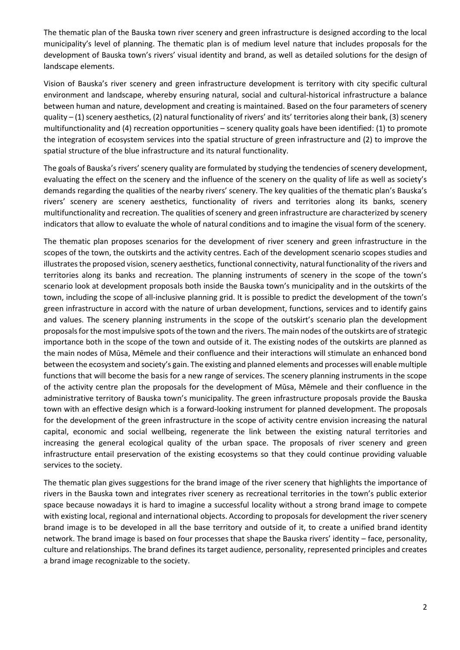The thematic plan of the Bauska town river scenery and green infrastructure is designed according to the local municipality's level of planning. The thematic plan is of medium level nature that includes proposals for the development of Bauska town's rivers' visual identity and brand, as well as detailed solutions for the design of landscape elements.

Vision of Bauska's river scenery and green infrastructure development is territory with city specific cultural environment and landscape, whereby ensuring natural, social and cultural-historical infrastructure a balance between human and nature, development and creating is maintained. Based on the four parameters of scenery quality – (1) scenery aesthetics, (2) natural functionality of rivers' and its' territories along their bank, (3) scenery multifunctionality and (4) recreation opportunities – scenery quality goals have been identified: (1) to promote the integration of ecosystem services into the spatial structure of green infrastructure and (2) to improve the spatial structure of the blue infrastructure and its natural functionality.

The goals of Bauska's rivers' scenery quality are formulated by studying the tendencies of scenery development, evaluating the effect on the scenery and the influence of the scenery on the quality of life as well as society's demands regarding the qualities of the nearby rivers' scenery. The key qualities of the thematic plan's Bauska's rivers' scenery are scenery aesthetics, functionality of rivers and territories along its banks, scenery multifunctionality and recreation. The qualities of scenery and green infrastructure are characterized by scenery indicators that allow to evaluate the whole of natural conditions and to imagine the visual form of the scenery.

The thematic plan proposes scenarios for the development of river scenery and green infrastructure in the scopes of the town, the outskirts and the activity centres. Each of the development scenario scopes studies and illustrates the proposed vision, scenery aesthetics, functional connectivity, natural functionality of the rivers and territories along its banks and recreation. The planning instruments of scenery in the scope of the town's scenario look at development proposals both inside the Bauska town's municipality and in the outskirts of the town, including the scope of all-inclusive planning grid. It is possible to predict the development of the town's green infrastructure in accord with the nature of urban development, functions, services and to identify gains and values. The scenery planning instruments in the scope of the outskirt's scenario plan the development proposals for the most impulsive spots of the town and the rivers. The main nodes of the outskirts are of strategic importance both in the scope of the town and outside of it. The existing nodes of the outskirts are planned as the main nodes of Mūsa, Mēmele and their confluence and their interactions will stimulate an enhanced bond between the ecosystem and society's gain. The existing and planned elements and processes will enable multiple functions that will become the basis for a new range of services. The scenery planning instruments in the scope of the activity centre plan the proposals for the development of Mūsa, Mēmele and their confluence in the administrative territory of Bauska town's municipality. The green infrastructure proposals provide the Bauska town with an effective design which is a forward-looking instrument for planned development. The proposals for the development of the green infrastructure in the scope of activity centre envision increasing the natural capital, economic and social wellbeing, regenerate the link between the existing natural territories and increasing the general ecological quality of the urban space. The proposals of river scenery and green infrastructure entail preservation of the existing ecosystems so that they could continue providing valuable services to the society.

The thematic plan gives suggestions for the brand image of the river scenery that highlights the importance of rivers in the Bauska town and integrates river scenery as recreational territories in the town's public exterior space because nowadays it is hard to imagine a successful locality without a strong brand image to compete with existing local, regional and international objects. According to proposals for development the river scenery brand image is to be developed in all the base territory and outside of it, to create a unified brand identity network. The brand image is based on four processes that shape the Bauska rivers' identity – face, personality, culture and relationships. The brand defines its target audience, personality, represented principles and creates a brand image recognizable to the society.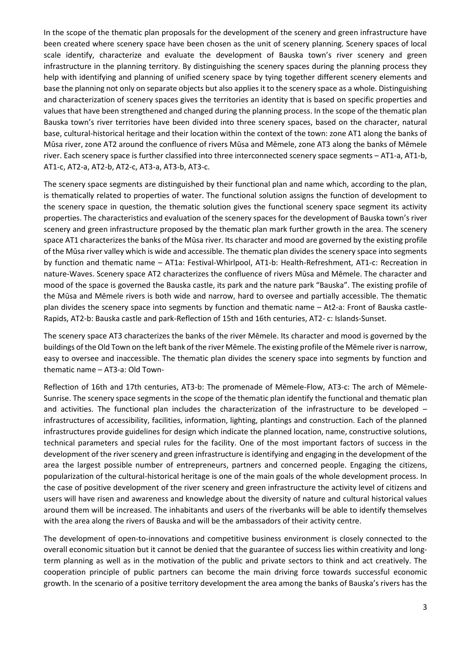In the scope of the thematic plan proposals for the development of the scenery and green infrastructure have been created where scenery space have been chosen as the unit of scenery planning. Scenery spaces of local scale identify, characterize and evaluate the development of Bauska town's river scenery and green infrastructure in the planning territory. By distinguishing the scenery spaces during the planning process they help with identifying and planning of unified scenery space by tying together different scenery elements and base the planning not only on separate objects but also applies it to the scenery space as a whole. Distinguishing and characterization of scenery spaces gives the territories an identity that is based on specific properties and values that have been strengthened and changed during the planning process. In the scope of the thematic plan Bauska town's river territories have been divided into three scenery spaces, based on the character, natural base, cultural-historical heritage and their location within the context of the town: zone AT1 along the banks of Mūsa river, zone AT2 around the confluence of rivers Mūsa and Mēmele, zone AT3 along the banks of Mēmele river. Each scenery space is further classified into three interconnected scenery space segments – AT1-a, AT1-b, AT1-c, AT2-a, AT2-b, AT2-c, AT3-a, AT3-b, AT3-c.

The scenery space segments are distinguished by their functional plan and name which, according to the plan, is thematically related to properties of water. The functional solution assigns the function of development to the scenery space in question, the thematic solution gives the functional scenery space segment its activity properties. The characteristics and evaluation of the scenery spaces for the development of Bauska town's river scenery and green infrastructure proposed by the thematic plan mark further growth in the area. The scenery space AT1 characterizes the banks of the Mūsa river. Its character and mood are governed by the existing profile of the Mūsa river valley which is wide and accessible. The thematic plan divides the scenery space into segments by function and thematic name – AT1a: Festival-Whirlpool, AT1-b: Health-Refreshment, AT1-c: Recreation in nature-Waves. Scenery space AT2 characterizes the confluence of rivers Mūsa and Mēmele. The character and mood of the space is governed the Bauska castle, its park and the nature park "Bauska". The existing profile of the Mūsa and Mēmele rivers is both wide and narrow, hard to oversee and partially accessible. The thematic plan divides the scenery space into segments by function and thematic name – At2-a: Front of Bauska castle-Rapids, AT2-b: Bauska castle and park-Reflection of 15th and 16th centuries, AT2- c: Islands-Sunset.

The scenery space AT3 characterizes the banks of the river Mēmele. Its character and mood is governed by the buildings of the Old Town on the left bank of the river Mēmele. The existing profile of the Mēmele river is narrow, easy to oversee and inaccessible. The thematic plan divides the scenery space into segments by function and thematic name – AT3-a: Old Town-

Reflection of 16th and 17th centuries, AT3-b: The promenade of Mēmele-Flow, AT3-c: The arch of Mēmele-Sunrise. The scenery space segments in the scope of the thematic plan identify the functional and thematic plan and activities. The functional plan includes the characterization of the infrastructure to be developed – infrastructures of accessibility, facilities, information, lighting, plantings and construction. Each of the planned infrastructures provide guidelines for design which indicate the planned location, name, constructive solutions, technical parameters and special rules for the facility. One of the most important factors of success in the development of the river scenery and green infrastructure is identifying and engaging in the development of the area the largest possible number of entrepreneurs, partners and concerned people. Engaging the citizens, popularization of the cultural-historical heritage is one of the main goals of the whole development process. In the case of positive development of the river scenery and green infrastructure the activity level of citizens and users will have risen and awareness and knowledge about the diversity of nature and cultural historical values around them will be increased. The inhabitants and users of the riverbanks will be able to identify themselves with the area along the rivers of Bauska and will be the ambassadors of their activity centre.

The development of open-to-innovations and competitive business environment is closely connected to the overall economic situation but it cannot be denied that the guarantee of success lies within creativity and longterm planning as well as in the motivation of the public and private sectors to think and act creatively. The cooperation principle of public partners can become the main driving force towards successful economic growth. In the scenario of a positive territory development the area among the banks of Bauska's rivers has the